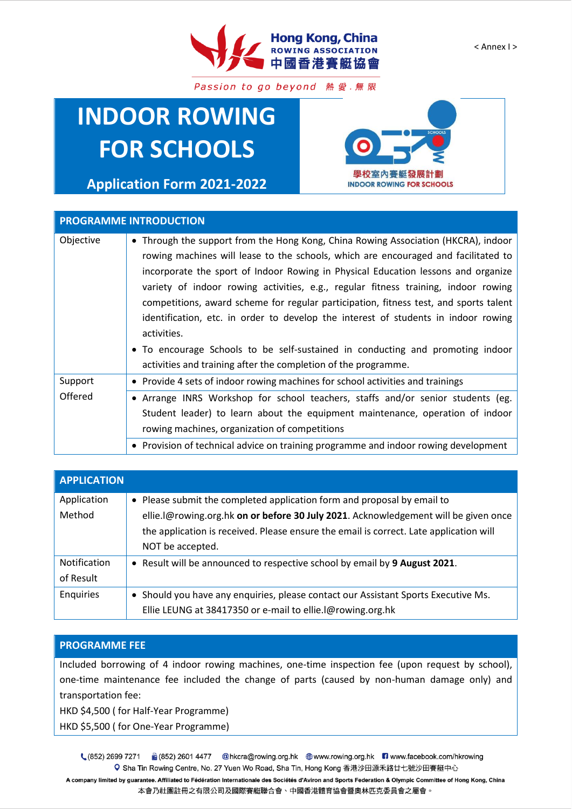

Passion to go beyond 熱愛.無限

# **INDOOR ROWING FOR SCHOOLS**

**Application Form 2021-2022**



### **PROGRAMME INTRODUCTION**

| Objective | • Through the support from the Hong Kong, China Rowing Association (HKCRA), indoor    |
|-----------|---------------------------------------------------------------------------------------|
|           | rowing machines will lease to the schools, which are encouraged and facilitated to    |
|           | incorporate the sport of Indoor Rowing in Physical Education lessons and organize     |
|           | variety of indoor rowing activities, e.g., regular fitness training, indoor rowing    |
|           | competitions, award scheme for regular participation, fitness test, and sports talent |
|           | identification, etc. in order to develop the interest of students in indoor rowing    |
|           | activities.                                                                           |
|           | • To encourage Schools to be self-sustained in conducting and promoting indoor        |
|           | activities and training after the completion of the programme.                        |
| Support   | • Provide 4 sets of indoor rowing machines for school activities and trainings        |
| Offered   | • Arrange INRS Workshop for school teachers, staffs and/or senior students (eg.       |
|           | Student leader) to learn about the equipment maintenance, operation of indoor         |
|           | rowing machines, organization of competitions                                         |
|           | • Provision of technical advice on training programme and indoor rowing development   |

| <b>APPLICATION</b> |                                                                                        |
|--------------------|----------------------------------------------------------------------------------------|
| Application        | • Please submit the completed application form and proposal by email to                |
| Method             | ellie.l@rowing.org.hk on or before 30 July 2021. Acknowledgement will be given once    |
|                    | the application is received. Please ensure the email is correct. Late application will |
|                    | NOT be accepted.                                                                       |
| Notification       | • Result will be announced to respective school by email by 9 August 2021.             |
| of Result          |                                                                                        |
| Enquiries          | • Should you have any enquiries, please contact our Assistant Sports Executive Ms.     |
|                    | Ellie LEUNG at 38417350 or e-mail to ellie. I@rowing.org.hk                            |

#### **PROGRAMME FEE**

Included borrowing of 4 indoor rowing machines, one-time inspection fee (upon request by school), one-time maintenance fee included the change of parts (caused by non-human damage only) and transportation fee:

HKD \$4,500 ( for Half-Year Programme)

HKD \$5,500 ( for One-Year Programme)

 $(852)$  2699 7271 6 (852) 2601 4477 @hkcra@rowing.org.hk ● www.rowing.org.hk ■ www.facebook.com/hkrowing Q Sha Tin Rowing Centre, No. 27 Yuen Wo Road, Sha Tin, Hong Kong 香港沙田源禾路廿七號沙田賽艇中心

A company limited by guarantee. Affiliated to Fédération Internationale des Sociétés d'Aviron and Sports Federation & Olympic Committee of Hong Kong, China 本會乃社團註冊之有限公司及國際賽艇聯合會、中國香港體育協會暨奧林匹克委員會之屬會。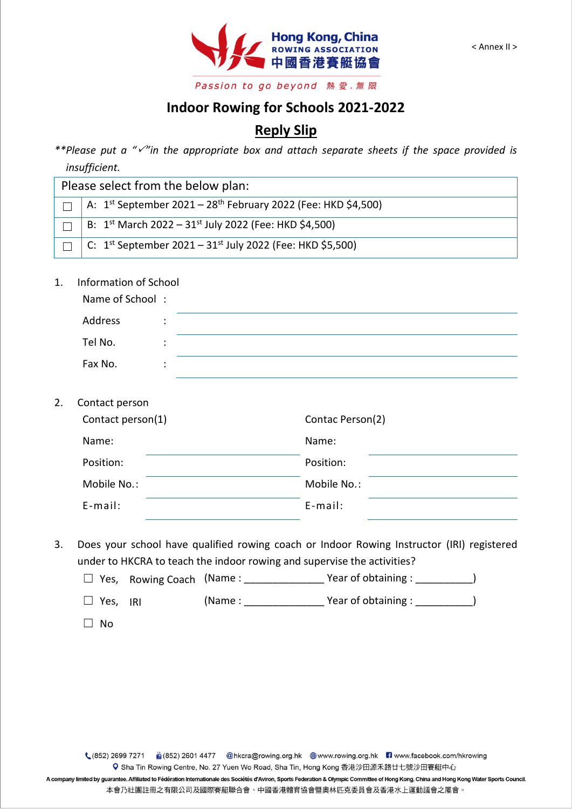

## **Indoor Rowing for Schools 2021-2022**

## **Reply Slip**

\*\*Please put a "<sup>/"</sup>in the appropriate box and attach separate sheets if the space provided is *insufficient.*

| Please select from the below plan: |                                                                                |  |
|------------------------------------|--------------------------------------------------------------------------------|--|
|                                    | A: $1^{st}$ September 2021 – 28 <sup>th</sup> February 2022 (Fee: HKD \$4,500) |  |
|                                    | B: $1^{st}$ March 2022 – $31^{st}$ July 2022 (Fee: HKD \$4,500)                |  |
|                                    | C: $1^{st}$ September 2021 – 31st July 2022 (Fee: HKD \$5,500)                 |  |

1. Information of School

| Name of School: |           |  |
|-----------------|-----------|--|
| Address         | ٠<br>٠    |  |
| Tel No.         | ٠<br>٠    |  |
| Fax No.         | $\bullet$ |  |

2. Contact person

| Contact person(1) | Contac Person(2) |  |
|-------------------|------------------|--|
| Name:             | Name:            |  |
| Position:         | Position:        |  |
| Mobile No.:       | Mobile No.:      |  |
| $E$ -mail:        | $E$ -mail:       |  |

- 3. Does your school have qualified rowing coach or Indoor Rowing Instructor (IRI) registered under to HKCRA to teach the indoor rowing and supervise the activities?
	- $\Box$  Yes, Rowing Coach (Name : \_\_\_\_\_\_\_\_\_\_\_\_\_\_\_\_\_\_\_Year of obtaining : \_\_\_\_\_\_\_\_\_\_\_)
	- ☐ Yes, IRI (Name : \_\_\_\_\_\_\_\_\_\_\_\_\_\_ Year of obtaining : \_\_\_\_\_\_\_\_\_\_)
	- ☐ No

A company limited by guarantee. Affiliated to Fédération Internationale des Sociétés d'Aviron, Sports Federation & Olympic Committee of Hong Kong, China and Hong Kong Water Sports Council. 本會乃社團註冊之有限公司及國際賽艇聯合會、中國香港體育協會暨奧林匹克委員會及香港水上運動議會之屬會。